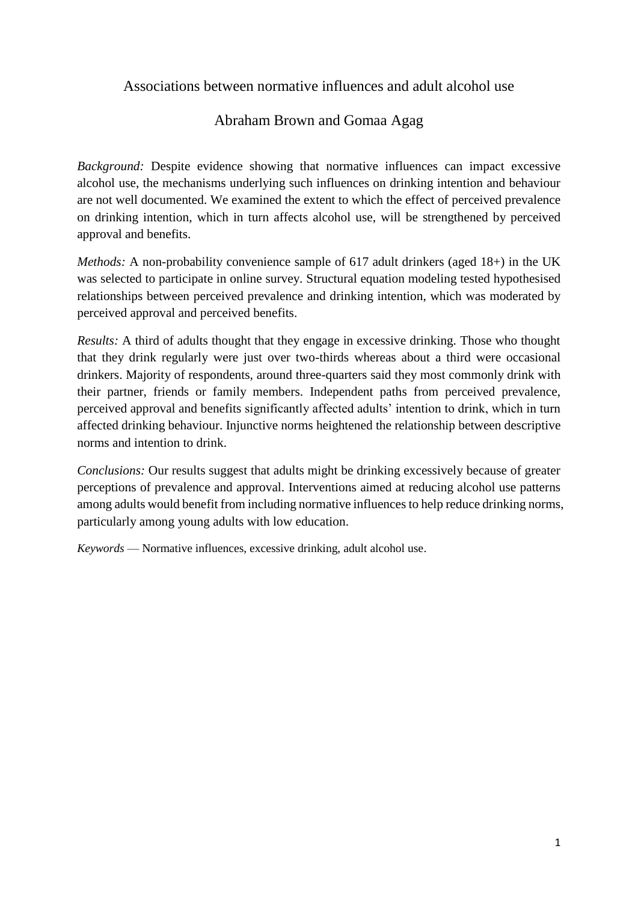# Associations between normative influences and adult alcohol use

# Abraham Brown and Gomaa Agag

*Background:* Despite evidence showing that normative influences can impact excessive alcohol use, the mechanisms underlying such influences on drinking intention and behaviour are not well documented. We examined the extent to which the effect of perceived prevalence on drinking intention, which in turn affects alcohol use, will be strengthened by perceived approval and benefits.

*Methods:* A non-probability convenience sample of 617 adult drinkers (aged 18+) in the UK was selected to participate in online survey. Structural equation modeling tested hypothesised relationships between perceived prevalence and drinking intention, which was moderated by perceived approval and perceived benefits.

*Results:* A third of adults thought that they engage in excessive drinking. Those who thought that they drink regularly were just over two-thirds whereas about a third were occasional drinkers. Majority of respondents, around three-quarters said they most commonly drink with their partner, friends or family members. Independent paths from perceived prevalence, perceived approval and benefits significantly affected adults' intention to drink, which in turn affected drinking behaviour. Injunctive norms heightened the relationship between descriptive norms and intention to drink.

*Conclusions:* Our results suggest that adults might be drinking excessively because of greater perceptions of prevalence and approval. Interventions aimed at reducing alcohol use patterns among adults would benefit from including normative influences to help reduce drinking norms, particularly among young adults with low education.

*Keywords* — Normative influences, excessive drinking, adult alcohol use.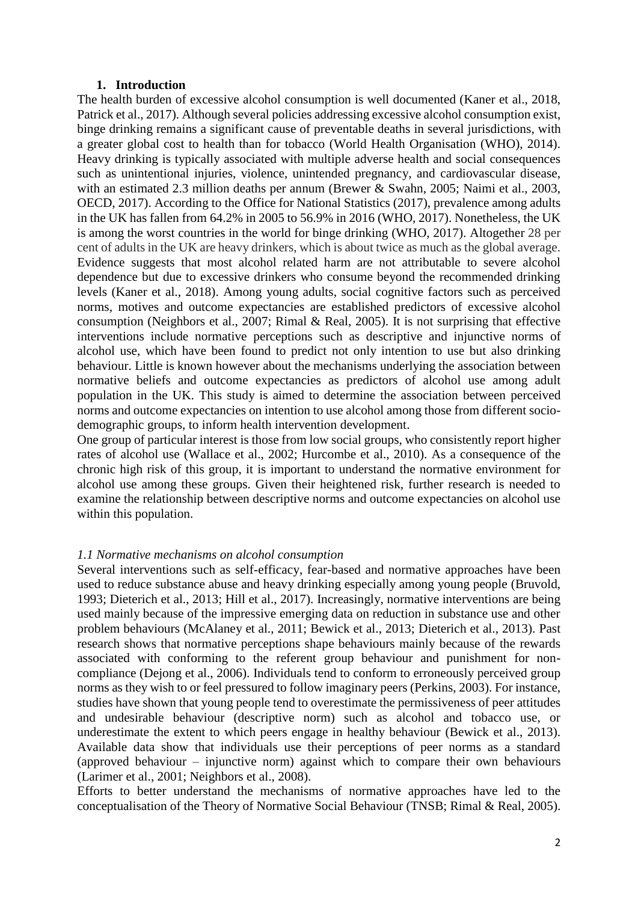### **1. Introduction**

The health burden of excessive alcohol consumption is well documented (Kaner et al., 2018, Patrick et al., 2017). Although several policies addressing excessive alcohol consumption exist, binge drinking remains a significant cause of preventable deaths in several jurisdictions, with a greater global cost to health than for tobacco (World Health Organisation (WHO), 2014). Heavy drinking is typically associated with multiple adverse health and social consequences such as unintentional injuries, violence, unintended pregnancy, and cardiovascular disease, with an estimated 2.3 million deaths per annum (Brewer & Swahn, 2005; Naimi et al., 2003, OECD, 2017). According to the Office for National Statistics (2017), prevalence among adults in the UK has fallen from 64.2% in 2005 to 56.9% in 2016 (WHO, 2017). Nonetheless, the UK is among the worst countries in the world for binge drinking (WHO, 2017). Altogether 28 per cent of adults in the UK are heavy drinkers, which is about twice as much as the global average. Evidence suggests that most alcohol related harm are not attributable to severe alcohol dependence but due to excessive drinkers who consume beyond the recommended drinking levels (Kaner et al., 2018). Among young adults, social cognitive factors such as perceived norms, motives and outcome expectancies are established predictors of excessive alcohol consumption (Neighbors et al., 2007; Rimal & Real, 2005). It is not surprising that effective interventions include normative perceptions such as descriptive and injunctive norms of alcohol use, which have been found to predict not only intention to use but also drinking behaviour. Little is known however about the mechanisms underlying the association between normative beliefs and outcome expectancies as predictors of alcohol use among adult population in the UK. This study is aimed to determine the association between perceived norms and outcome expectancies on intention to use alcohol among those from different sociodemographic groups, to inform health intervention development.

One group of particular interest is those from low social groups, who consistently report higher rates of alcohol use (Wallace et al., 2002; Hurcombe et al., 2010). As a consequence of the chronic high risk of this group, it is important to understand the normative environment for alcohol use among these groups. Given their heightened risk, further research is needed to examine the relationship between descriptive norms and outcome expectancies on alcohol use within this population.

## *1.1 Normative mechanisms on alcohol consumption*

Several interventions such as self-efficacy, fear-based and normative approaches have been used to reduce substance abuse and heavy drinking especially among young people (Bruvold, 1993; Dieterich et al., 2013; Hill et al., 2017). Increasingly, normative interventions are being used mainly because of the impressive emerging data on reduction in substance use and other problem behaviours (McAlaney et al., 2011; Bewick et al., 2013; Dieterich et al., 2013). Past research shows that normative perceptions shape behaviours mainly because of the rewards associated with conforming to the referent group behaviour and punishment for noncompliance (Dejong et al., 2006). Individuals tend to conform to erroneously perceived group norms as they wish to or feel pressured to follow imaginary peers (Perkins, 2003). For instance, studies have shown that young people tend to overestimate the permissiveness of peer attitudes and undesirable behaviour (descriptive norm) such as alcohol and tobacco use, or underestimate the extent to which peers engage in healthy behaviour (Bewick et al., 2013). Available data show that individuals use their perceptions of peer norms as a standard (approved behaviour – injunctive norm) against which to compare their own behaviours (Larimer et al., 2001; Neighbors et al., 2008).

Efforts to better understand the mechanisms of normative approaches have led to the conceptualisation of the Theory of Normative Social Behaviour (TNSB; Rimal & Real, 2005).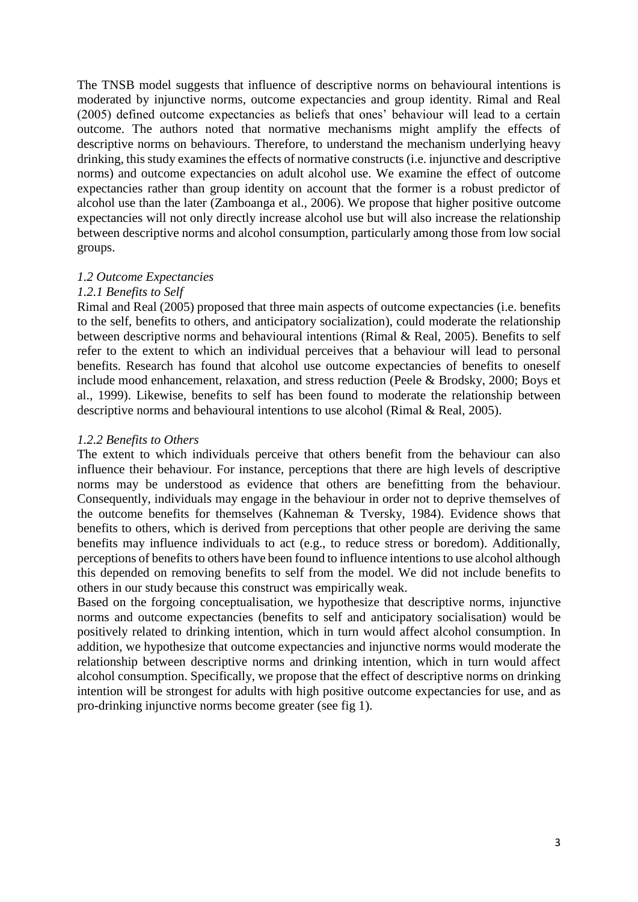The TNSB model suggests that influence of descriptive norms on behavioural intentions is moderated by injunctive norms, outcome expectancies and group identity. Rimal and Real (2005) defined outcome expectancies as beliefs that ones' behaviour will lead to a certain outcome. The authors noted that normative mechanisms might amplify the effects of descriptive norms on behaviours. Therefore, to understand the mechanism underlying heavy drinking, this study examines the effects of normative constructs (i.e. injunctive and descriptive norms) and outcome expectancies on adult alcohol use. We examine the effect of outcome expectancies rather than group identity on account that the former is a robust predictor of alcohol use than the later (Zamboanga et al., 2006). We propose that higher positive outcome expectancies will not only directly increase alcohol use but will also increase the relationship between descriptive norms and alcohol consumption, particularly among those from low social groups.

### *1.2 Outcome Expectancies*

### *1.2.1 Benefits to Self*

Rimal and Real (2005) proposed that three main aspects of outcome expectancies (i.e. benefits to the self, benefits to others, and anticipatory socialization), could moderate the relationship between descriptive norms and behavioural intentions (Rimal & Real, 2005). Benefits to self refer to the extent to which an individual perceives that a behaviour will lead to personal benefits. Research has found that alcohol use outcome expectancies of benefits to oneself include mood enhancement, relaxation, and stress reduction (Peele & Brodsky, 2000; Boys et al., 1999). Likewise, benefits to self has been found to moderate the relationship between descriptive norms and behavioural intentions to use alcohol (Rimal & Real, 2005).

### *1.2.2 Benefits to Others*

The extent to which individuals perceive that others benefit from the behaviour can also influence their behaviour. For instance, perceptions that there are high levels of descriptive norms may be understood as evidence that others are benefitting from the behaviour. Consequently, individuals may engage in the behaviour in order not to deprive themselves of the outcome benefits for themselves (Kahneman & Tversky, 1984). Evidence shows that benefits to others, which is derived from perceptions that other people are deriving the same benefits may influence individuals to act (e.g., to reduce stress or boredom). Additionally, perceptions of benefits to others have been found to influence intentions to use alcohol although this depended on removing benefits to self from the model. We did not include benefits to others in our study because this construct was empirically weak.

Based on the forgoing conceptualisation, we hypothesize that descriptive norms, injunctive norms and outcome expectancies (benefits to self and anticipatory socialisation) would be positively related to drinking intention, which in turn would affect alcohol consumption. In addition, we hypothesize that outcome expectancies and injunctive norms would moderate the relationship between descriptive norms and drinking intention, which in turn would affect alcohol consumption. Specifically, we propose that the effect of descriptive norms on drinking intention will be strongest for adults with high positive outcome expectancies for use, and as pro-drinking injunctive norms become greater (see fig 1).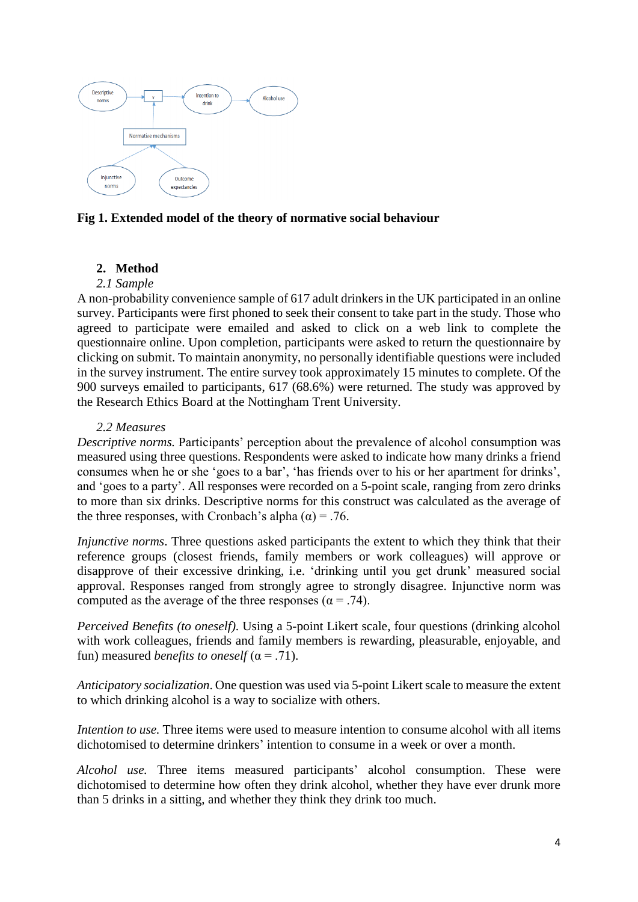

**Fig 1. Extended model of the theory of normative social behaviour**

# **2. Method**

## *2.1 Sample*

A non-probability convenience sample of 617 adult drinkers in the UK participated in an online survey. Participants were first phoned to seek their consent to take part in the study. Those who agreed to participate were emailed and asked to click on a web link to complete the questionnaire online. Upon completion, participants were asked to return the questionnaire by clicking on submit. To maintain anonymity, no personally identifiable questions were included in the survey instrument. The entire survey took approximately 15 minutes to complete. Of the 900 surveys emailed to participants, 617 (68.6%) were returned. The study was approved by the Research Ethics Board at the Nottingham Trent University.

## *2.2 Measures*

*Descriptive norms.* Participants' perception about the prevalence of alcohol consumption was measured using three questions. Respondents were asked to indicate how many drinks a friend consumes when he or she 'goes to a bar', 'has friends over to his or her apartment for drinks', and 'goes to a party'. All responses were recorded on a 5-point scale, ranging from zero drinks to more than six drinks. Descriptive norms for this construct was calculated as the average of the three responses, with Cronbach's alpha  $(\alpha) = .76$ .

*Injunctive norms*. Three questions asked participants the extent to which they think that their reference groups (closest friends, family members or work colleagues) will approve or disapprove of their excessive drinking, i.e. 'drinking until you get drunk' measured social approval. Responses ranged from strongly agree to strongly disagree. Injunctive norm was computed as the average of the three responses ( $\alpha = .74$ ).

*Perceived Benefits (to oneself)*. Using a 5-point Likert scale, four questions (drinking alcohol with work colleagues, friends and family members is rewarding, pleasurable, enjoyable, and fun) measured *benefits to oneself*  $(\alpha = .71)$ .

*Anticipatory socialization*. One question was used via 5-point Likert scale to measure the extent to which drinking alcohol is a way to socialize with others.

*Intention to use.* Three items were used to measure intention to consume alcohol with all items dichotomised to determine drinkers' intention to consume in a week or over a month.

*Alcohol use.* Three items measured participants' alcohol consumption. These were dichotomised to determine how often they drink alcohol, whether they have ever drunk more than 5 drinks in a sitting, and whether they think they drink too much.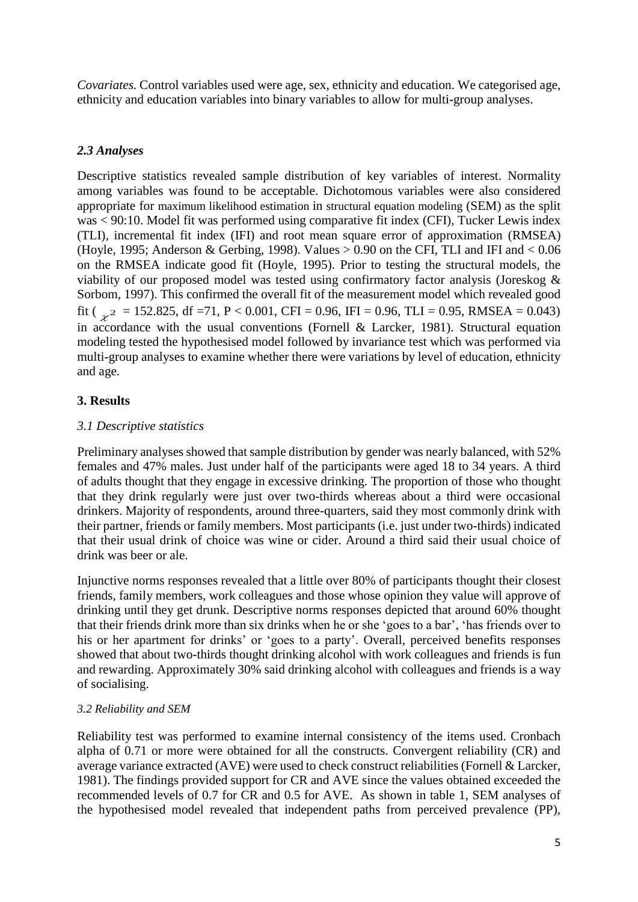*Covariates.* Control variables used were age, sex, ethnicity and education. We categorised age, ethnicity and education variables into binary variables to allow for multi-group analyses.

## *2.3 Analyses*

Descriptive statistics revealed sample distribution of key variables of interest. Normality among variables was found to be acceptable. Dichotomous variables were also considered appropriate for maximum likelihood estimation in structural equation modeling (SEM) as the split was < 90:10. Model fit was performed using comparative fit index (CFI), Tucker Lewis index (TLI), incremental fit index (IFI) and root mean square error of approximation (RMSEA) (Hoyle, 1995; Anderson & Gerbing, 1998). Values  $> 0.90$  on the CFI, TLI and IFI and  $< 0.06$ on the RMSEA indicate good fit (Hoyle, 1995). Prior to testing the structural models, the viability of our proposed model was tested using confirmatory factor analysis (Joreskog & Sorbom, 1997). This confirmed the overall fit of the measurement model which revealed good fit ( $\chi^2$  = 152.825, df =71, P < 0.001, CFI = 0.96, IFI = 0.96, TLI = 0.95, RMSEA = 0.043) in accordance with the usual conventions (Fornell & Larcker, 1981). Structural equation modeling tested the hypothesised model followed by invariance test which was performed via multi-group analyses to examine whether there were variations by level of education, ethnicity and age.

## **3. Results**

## *3.1 Descriptive statistics*

Preliminary analyses showed that sample distribution by gender was nearly balanced, with 52% females and 47% males. Just under half of the participants were aged 18 to 34 years. A third of adults thought that they engage in excessive drinking. The proportion of those who thought that they drink regularly were just over two-thirds whereas about a third were occasional drinkers. Majority of respondents, around three-quarters, said they most commonly drink with their partner, friends or family members. Most participants (i.e. just under two-thirds) indicated that their usual drink of choice was wine or cider. Around a third said their usual choice of drink was beer or ale.

Injunctive norms responses revealed that a little over 80% of participants thought their closest friends, family members, work colleagues and those whose opinion they value will approve of drinking until they get drunk. Descriptive norms responses depicted that around 60% thought that their friends drink more than six drinks when he or she 'goes to a bar', 'has friends over to his or her apartment for drinks' or 'goes to a party'. Overall, perceived benefits responses showed that about two-thirds thought drinking alcohol with work colleagues and friends is fun and rewarding. Approximately 30% said drinking alcohol with colleagues and friends is a way of socialising.

## *3.2 Reliability and SEM*

Reliability test was performed to examine internal consistency of the items used. Cronbach alpha of 0.71 or more were obtained for all the constructs. Convergent reliability (CR) and average variance extracted (AVE) were used to check construct reliabilities (Fornell & Larcker, 1981). The findings provided support for CR and AVE since the values obtained exceeded the recommended levels of 0.7 for CR and 0.5 for AVE. As shown in table 1, SEM analyses of the hypothesised model revealed that independent paths from perceived prevalence (PP),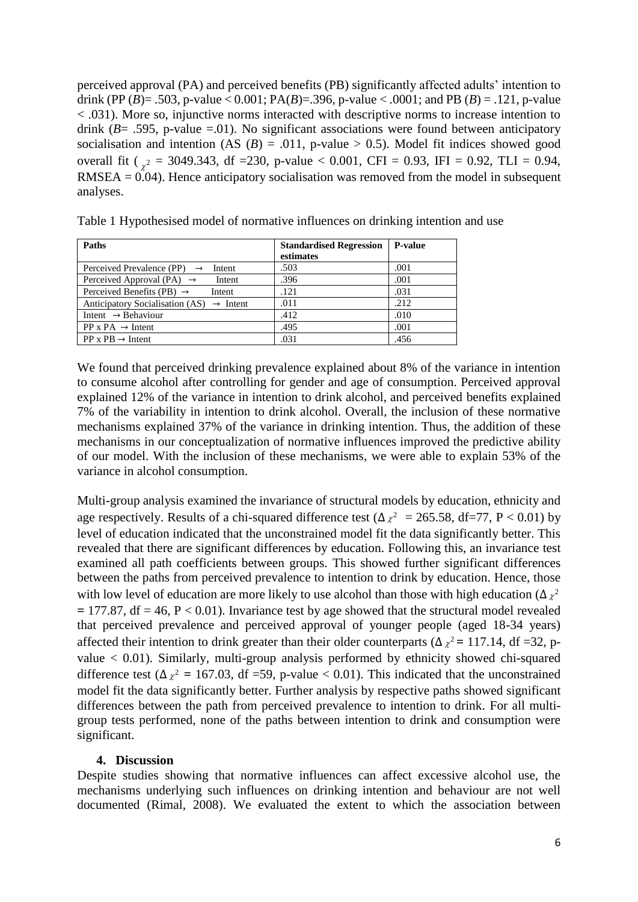perceived approval (PA) and perceived benefits (PB) significantly affected adults' intention to drink (PP (*B*) = .503, p-value < 0.001; PA(*B*) = .396, p-value < .0001; and PB (*B*) = .121, p-value < .031). More so, injunctive norms interacted with descriptive norms to increase intention to drink  $(B = .595, p-value = .01)$ . No significant associations were found between anticipatory socialisation and intention (AS  $(B) = .011$ , p-value > 0.5). Model fit indices showed good overall fit ( $\chi^2 = 3049.343$ , df = 230, p-value < 0.001, CFI = 0.93, IFI = 0.92, TLI = 0.94,  $RMSEA = 0.04$ ). Hence anticipatory socialisation was removed from the model in subsequent analyses.

|  | Table 1 Hypothesised model of normative influences on drinking intention and use |  |  |
|--|----------------------------------------------------------------------------------|--|--|
|  |                                                                                  |  |  |

| Paths                                                | <b>Standardised Regression</b><br>estimates | <b>P-value</b> |
|------------------------------------------------------|---------------------------------------------|----------------|
| Perceived Prevalence (PP) $\rightarrow$<br>Intent    | .503                                        | .001           |
| Perceived Approval (PA) $\rightarrow$<br>Intent      | .396                                        | .001           |
| Perceived Benefits (PB) $\rightarrow$<br>Intent      | .121                                        | .031           |
| Anticipatory Socialisation (AS) $\rightarrow$ Intent | .011                                        | .212           |
| Intent $\rightarrow$ Behaviour                       | .412                                        | .010           |
| $PP \times PA \rightarrow Intent$                    | .495                                        | .001           |
| $PP \times PB \rightarrow Intent$                    | .031                                        | .456           |

We found that perceived drinking prevalence explained about 8% of the variance in intention to consume alcohol after controlling for gender and age of consumption. Perceived approval explained 12% of the variance in intention to drink alcohol, and perceived benefits explained 7% of the variability in intention to drink alcohol. Overall, the inclusion of these normative mechanisms explained 37% of the variance in drinking intention. Thus, the addition of these mechanisms in our conceptualization of normative influences improved the predictive ability of our model. With the inclusion of these mechanisms, we were able to explain 53% of the variance in alcohol consumption.

Multi-group analysis examined the invariance of structural models by education, ethnicity and age respectively. Results of a chi-squared difference test ( $\Delta \chi^2 = 265.58$ , df=77, P < 0.01) by level of education indicated that the unconstrained model fit the data significantly better. This revealed that there are significant differences by education. Following this, an invariance test examined all path coefficients between groups. This showed further significant differences between the paths from perceived prevalence to intention to drink by education. Hence, those with low level of education are more likely to use alcohol than those with high education ( $\Delta z^2$  $= 177.87$ , df  $= 46$ ,  $P < 0.01$ ). Invariance test by age showed that the structural model revealed that perceived prevalence and perceived approval of younger people (aged 18-34 years) affected their intention to drink greater than their older counterparts ( $\Delta z^2$  = 117.14, df =32, pvalue < 0.01). Similarly, multi-group analysis performed by ethnicity showed chi-squared difference test ( $\Delta \chi^2 = 167.03$ , df =59, p-value < 0.01). This indicated that the unconstrained model fit the data significantly better. Further analysis by respective paths showed significant differences between the path from perceived prevalence to intention to drink. For all multigroup tests performed, none of the paths between intention to drink and consumption were significant.

## **4. Discussion**

Despite studies showing that normative influences can affect excessive alcohol use, the mechanisms underlying such influences on drinking intention and behaviour are not well documented (Rimal, 2008). We evaluated the extent to which the association between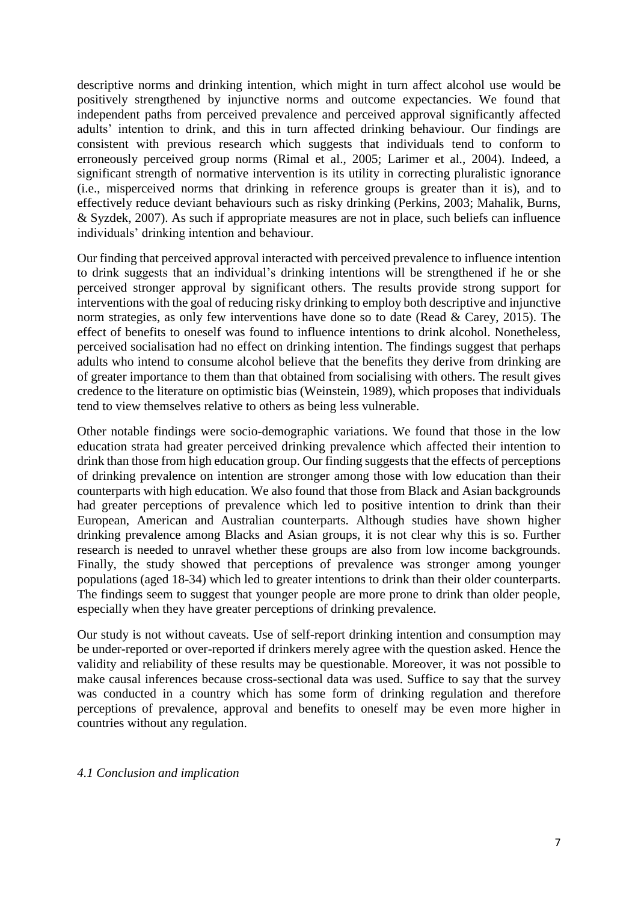descriptive norms and drinking intention, which might in turn affect alcohol use would be positively strengthened by injunctive norms and outcome expectancies. We found that independent paths from perceived prevalence and perceived approval significantly affected adults' intention to drink, and this in turn affected drinking behaviour. Our findings are consistent with previous research which suggests that individuals tend to conform to erroneously perceived group norms (Rimal et al., 2005; Larimer et al., 2004). Indeed, a significant strength of normative intervention is its utility in correcting pluralistic ignorance (i.e., misperceived norms that drinking in reference groups is greater than it is), and to effectively reduce deviant behaviours such as risky drinking (Perkins, 2003; Mahalik, Burns, & Syzdek, 2007). As such if appropriate measures are not in place, such beliefs can influence individuals' drinking intention and behaviour.

Our finding that perceived approval interacted with perceived prevalence to influence intention to drink suggests that an individual's drinking intentions will be strengthened if he or she perceived stronger approval by significant others. The results provide strong support for interventions with the goal of reducing risky drinking to employ both descriptive and injunctive norm strategies, as only few interventions have done so to date (Read & Carey, 2015). The effect of benefits to oneself was found to influence intentions to drink alcohol. Nonetheless, perceived socialisation had no effect on drinking intention. The findings suggest that perhaps adults who intend to consume alcohol believe that the benefits they derive from drinking are of greater importance to them than that obtained from socialising with others. The result gives credence to the literature on optimistic bias (Weinstein, 1989), which proposes that individuals tend to view themselves relative to others as being less vulnerable.

Other notable findings were socio-demographic variations. We found that those in the low education strata had greater perceived drinking prevalence which affected their intention to drink than those from high education group. Our finding suggests that the effects of perceptions of drinking prevalence on intention are stronger among those with low education than their counterparts with high education. We also found that those from Black and Asian backgrounds had greater perceptions of prevalence which led to positive intention to drink than their European, American and Australian counterparts. Although studies have shown higher drinking prevalence among Blacks and Asian groups, it is not clear why this is so. Further research is needed to unravel whether these groups are also from low income backgrounds. Finally, the study showed that perceptions of prevalence was stronger among younger populations (aged 18-34) which led to greater intentions to drink than their older counterparts. The findings seem to suggest that younger people are more prone to drink than older people, especially when they have greater perceptions of drinking prevalence.

Our study is not without caveats. Use of self-report drinking intention and consumption may be under-reported or over-reported if drinkers merely agree with the question asked. Hence the validity and reliability of these results may be questionable. Moreover, it was not possible to make causal inferences because cross-sectional data was used. Suffice to say that the survey was conducted in a country which has some form of drinking regulation and therefore perceptions of prevalence, approval and benefits to oneself may be even more higher in countries without any regulation.

## *4.1 Conclusion and implication*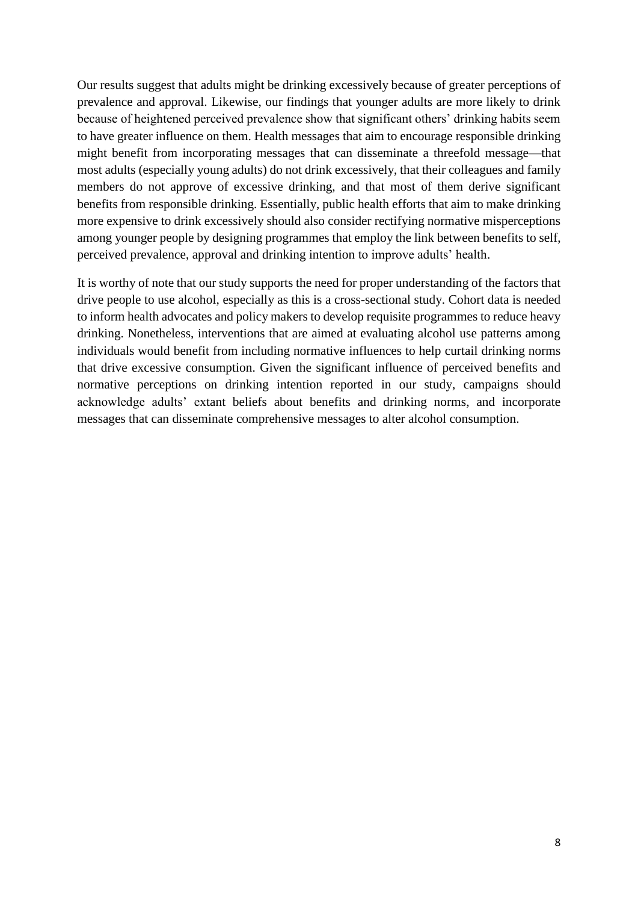Our results suggest that adults might be drinking excessively because of greater perceptions of prevalence and approval. Likewise, our findings that younger adults are more likely to drink because of heightened perceived prevalence show that significant others' drinking habits seem to have greater influence on them. Health messages that aim to encourage responsible drinking might benefit from incorporating messages that can disseminate a threefold message—that most adults (especially young adults) do not drink excessively, that their colleagues and family members do not approve of excessive drinking, and that most of them derive significant benefits from responsible drinking. Essentially, public health efforts that aim to make drinking more expensive to drink excessively should also consider rectifying normative misperceptions among younger people by designing programmes that employ the link between benefits to self, perceived prevalence, approval and drinking intention to improve adults' health.

It is worthy of note that our study supports the need for proper understanding of the factors that drive people to use alcohol, especially as this is a cross-sectional study. Cohort data is needed to inform health advocates and policy makers to develop requisite programmes to reduce heavy drinking. Nonetheless, interventions that are aimed at evaluating alcohol use patterns among individuals would benefit from including normative influences to help curtail drinking norms that drive excessive consumption. Given the significant influence of perceived benefits and normative perceptions on drinking intention reported in our study, campaigns should acknowledge adults' extant beliefs about benefits and drinking norms, and incorporate messages that can disseminate comprehensive messages to alter alcohol consumption.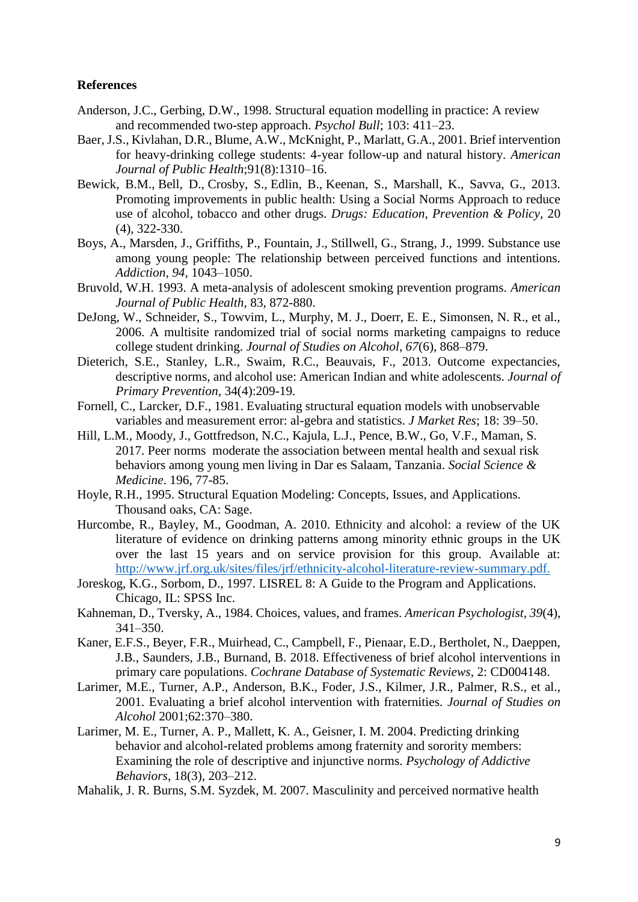### **References**

- Anderson, J.C., Gerbing, D.W., 1998. Structural equation modelling in practice: A review and recommended two-step approach. *Psychol Bull*; 103: 411–23.
- Baer, J.S., Kivlahan, D.R., Blume, A.W., McKnight, P., Marlatt, G.A., 2001. Brief intervention for heavy-drinking college students: 4-year follow-up and natural history. *American Journal of Public Health*;91(8):1310–16.
- Bewick, B.M., Bell, D., Crosby, S., Edlin, B., Keenan, S., Marshall, K., Savva, G., 2013. Promoting improvements in public health: Using a Social Norms Approach to reduce use of alcohol, tobacco and other drugs. *Drugs: Education, Prevention & Policy,* 20 (4), 322-330.
- Boys, A., Marsden, J., Griffiths, P., Fountain, J., Stillwell, G., Strang, J., 1999. Substance use among young people: The relationship between perceived functions and intentions. *Addiction, 94*, 1043–1050.
- Bruvold, W.H. 1993. A meta-analysis of adolescent smoking prevention programs. *American Journal of Public Health*, 83, 872-880.
- DeJong, W., Schneider, S., Towvim, L., Murphy, M. J., Doerr, E. E., Simonsen, N. R., et al., 2006. A multisite randomized trial of social norms marketing campaigns to reduce college student drinking. *Journal of Studies on Alcohol, 67*(6), 868–879.
- Dieterich, S.E., Stanley, L.R., Swaim, R.C., Beauvais, F., 2013. Outcome expectancies, descriptive norms, and alcohol use: American Indian and white adolescents. *Journal of Primary Prevention,* 34(4):209-19*.*
- Fornell, C., Larcker, D.F., 1981. Evaluating structural equation models with unobservable variables and measurement error: al-gebra and statistics. *J Market Res*; 18: 39–50.
- Hill, L.M., Moody, J., Gottfredson, N.C., Kajula, L.J., Pence, B.W., Go, V.F., Maman, S. 2017. Peer norms moderate the association between mental health and sexual risk behaviors among young men living in Dar es Salaam, Tanzania. *Social Science & Medicine*. 196, 77-85.
- Hoyle, R.H., 1995. Structural Equation Modeling: Concepts, Issues, and Applications. Thousand oaks, CA: Sage.
- Hurcombe, R., Bayley, M., Goodman, A. 2010. Ethnicity and alcohol: a review of the UK literature of evidence on drinking patterns among minority ethnic groups in the UK over the last 15 years and on service provision for this group. Available at: [http://www.jrf.org.uk/sites/files/jrf/ethnicity-alcohol-literature-review-summary.pdf.](http://www.jrf.org.uk/sites/files/jrf/ethnicity-alcohol-literature-review-summary.pdf)
- Joreskog, K.G., Sorbom, D., 1997. LISREL 8: A Guide to the Program and Applications. Chicago, IL: SPSS Inc.
- Kahneman, D., Tversky, A., 1984. Choices, values, and frames. *American Psychologist, 39*(4), 341–350.
- Kaner, E.F.S., Beyer, F.R., Muirhead, C., Campbell, F., Pienaar, E.D., Bertholet, N., Daeppen, J.B., Saunders, J.B., Burnand, B. 2018. Effectiveness of brief alcohol interventions in primary care populations. *Cochrane Database of Systematic Reviews*, 2: CD004148.
- Larimer, M.E., Turner, A.P., Anderson, B.K., Foder, J.S., Kilmer, J.R., Palmer, R.S., et al., 2001. Evaluating a brief alcohol intervention with fraternities. *Journal of Studies on Alcohol* 2001;62:370–380.
- Larimer, M. E., Turner, A. P., Mallett, K. A., Geisner, I. M. 2004. Predicting drinking behavior and alcohol-related problems among fraternity and sorority members: Examining the role of descriptive and injunctive norms. *Psychology of Addictive Behaviors*, 18(3), 203–212.
- Mahalik, J. R. Burns, S.M. Syzdek, M. 2007. Masculinity and perceived normative health